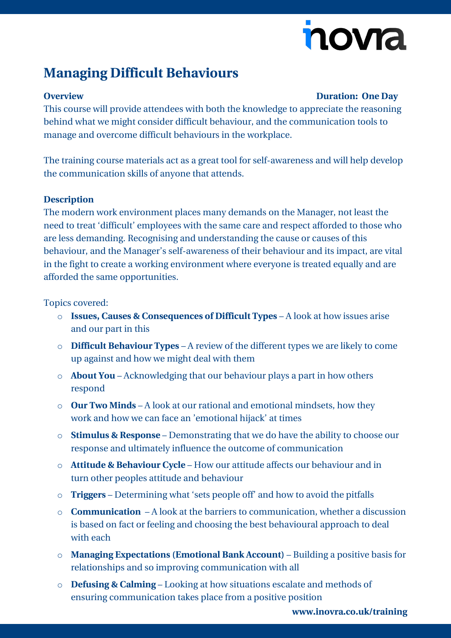# novia

## **Managing Difficult Behaviours**

### **Overview Duration: One Day**

This course will provide attendees with both the knowledge to appreciate the reasoning behind what we might consider difficult behaviour, and the communication tools to manage and overcome difficult behaviours in the workplace.

The training course materials act as a great tool for self-awareness and will help develop the communication skills of anyone that attends.

#### **Description**

The modern work environment places many demands on the Manager, not least the need to treat 'difficult' employees with the same care and respect afforded to those who are less demanding. Recognising and understanding the cause or causes of this behaviour, and the Manager's self-awareness of their behaviour and its impact, are vital in the fight to create a working environment where everyone is treated equally and are afforded the same opportunities.

#### Topics covered:

- o **Issues, Causes & Consequences of Difficult Types** A look at how issues arise and our part in this
- o **Difficult Behaviour Types** A review of the different types we are likely to come up against and how we might deal with them
- o **About You** Acknowledging that our behaviour plays a part in how others respond
- o **Our Two Minds** A look at our rational and emotional mindsets, how they work and how we can face an 'emotional hijack' at times
- o **Stimulus & Response** Demonstrating that we do have the ability to choose our response and ultimately influence the outcome of communication
- o **Attitude & Behaviour Cycle** How our attitude affects our behaviour and in turn other peoples attitude and behaviour
- o **Triggers** Determining what 'sets people off' and how to avoid the pitfalls
- o **Communication** A look at the barriers to communication, whether a discussion is based on fact or feeling and choosing the best behavioural approach to deal with each
- o **Managing Expectations (Emotional Bank Account)** Building a positive basis for relationships and so improving communication with all
- o **Defusing & Calming** Looking at how situations escalate and methods of ensuring communication takes place from a positive position

**[www.inovra.co.uk/training](http://www.inovra.co.uk/training)**